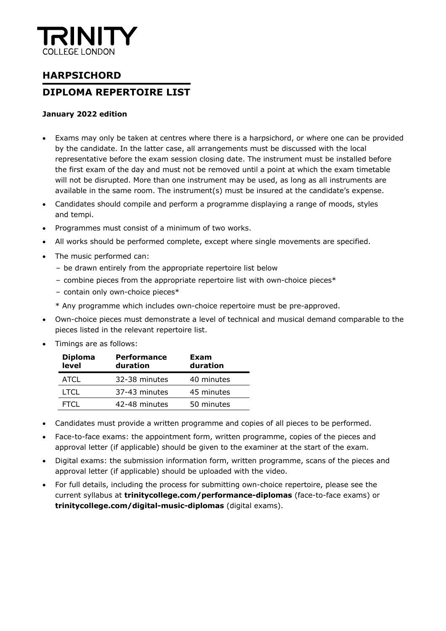

## **HARPSICHORD DIPLOMA REPERTOIRE LIST**

#### **January 2022 edition**

- Exams may only be taken at centres where there is a harpsichord, or where one can be provided by the candidate. In the latter case, all arrangements must be discussed with the local representative before the exam session closing date. The instrument must be installed before the first exam of the day and must not be removed until a point at which the exam timetable will not be disrupted. More than one instrument may be used, as long as all instruments are available in the same room. The instrument(s) must be insured at the candidate's expense.
- Candidates should compile and perform a programme displaying a range of moods, styles and tempi.
- Programmes must consist of a minimum of two works.
- All works should be performed complete, except where single movements are specified.
- The music performed can:
	- be drawn entirely from the appropriate repertoire list below
	- combine pieces from the appropriate repertoire list with own-choice pieces\*
	- contain only own-choice pieces\*
	- \* Any programme which includes own-choice repertoire must be pre-approved.
- Own-choice pieces must demonstrate a level of technical and musical demand comparable to the pieces listed in the relevant repertoire list.
- Timings are as follows:

| <b>Diploma</b><br>level | <b>Performance</b><br>duration | Exam<br>duration |
|-------------------------|--------------------------------|------------------|
| ATCL                    | 32-38 minutes                  | 40 minutes       |
| I TCL                   | 37-43 minutes                  | 45 minutes       |
| FTCL.                   | 42-48 minutes                  | 50 minutes       |

- Candidates must provide a written programme and copies of all pieces to be performed.
- Face-to-face exams: the appointment form, written programme, copies of the pieces and approval letter (if applicable) should be given to the examiner at the start of the exam.
- Digital exams: the submission information form, written programme, scans of the pieces and approval letter (if applicable) should be uploaded with the video.
- For full details, including the process for submitting own-choice repertoire, please see the current syllabus at **trinitycollege.com/performance-diplomas** (face-to-face exams) or **trinitycollege.com/digital-music-diplomas** (digital exams).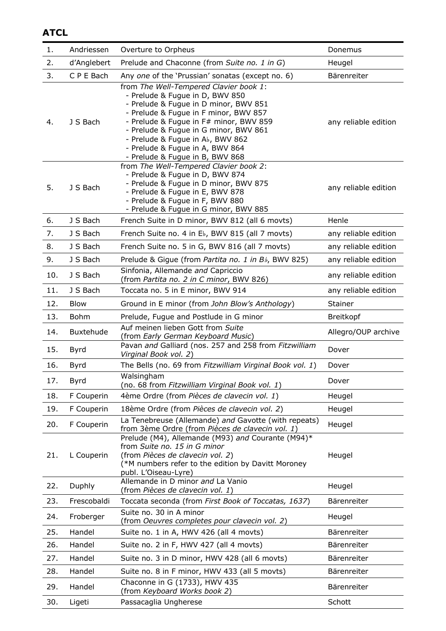### **ATCL**

| 1.  | Andriessen  | Overture to Orpheus                                                                                                                                                                                                                                                                                                                                      | Donemus              |
|-----|-------------|----------------------------------------------------------------------------------------------------------------------------------------------------------------------------------------------------------------------------------------------------------------------------------------------------------------------------------------------------------|----------------------|
| 2.  | d'Anglebert | Prelude and Chaconne (from Suite no. 1 in G)                                                                                                                                                                                                                                                                                                             | Heugel               |
| 3.  | C P E Bach  | Any one of the 'Prussian' sonatas (except no. 6)                                                                                                                                                                                                                                                                                                         | Bärenreiter          |
| 4.  | J S Bach    | from The Well-Tempered Clavier book 1:<br>- Prelude & Fugue in D, BWV 850<br>- Prelude & Fugue in D minor, BWV 851<br>- Prelude & Fugue in F minor, BWV 857<br>- Prelude & Fugue in F# minor, BWV 859<br>- Prelude & Fugue in G minor, BWV 861<br>- Prelude & Fugue in Ab, BWV 862<br>- Prelude & Fugue in A, BWV 864<br>- Prelude & Fugue in B, BWV 868 | any reliable edition |
| 5.  | J S Bach    | from The Well-Tempered Clavier book 2:<br>- Prelude & Fugue in D, BWV 874<br>- Prelude & Fugue in D minor, BWV 875<br>- Prelude & Fugue in E, BWV 878<br>- Prelude & Fugue in F, BWV 880<br>- Prelude & Fugue in G minor, BWV 885                                                                                                                        | any reliable edition |
| 6.  | J S Bach    | French Suite in D minor, BWV 812 (all 6 movts)                                                                                                                                                                                                                                                                                                           | Henle                |
| 7.  | J S Bach    | French Suite no. 4 in E <sub>b</sub> , BWV 815 (all 7 movts)                                                                                                                                                                                                                                                                                             | any reliable edition |
| 8.  | J S Bach    | French Suite no. 5 in G, BWV 816 (all 7 movts)                                                                                                                                                                                                                                                                                                           | any reliable edition |
| 9.  | J S Bach    | Prelude & Gigue (from Partita no. 1 in Bb, BWV 825)                                                                                                                                                                                                                                                                                                      | any reliable edition |
| 10. | J S Bach    | Sinfonia, Allemande and Capriccio<br>(from Partita no. 2 in C minor, BWV 826)                                                                                                                                                                                                                                                                            | any reliable edition |
| 11. | J S Bach    | Toccata no. 5 in E minor, BWV 914                                                                                                                                                                                                                                                                                                                        | any reliable edition |
| 12. | <b>Blow</b> | Ground in E minor (from John Blow's Anthology)                                                                                                                                                                                                                                                                                                           | Stainer              |
| 13. | <b>Bohm</b> | Prelude, Fugue and Postlude in G minor                                                                                                                                                                                                                                                                                                                   | Breitkopf            |
| 14. | Buxtehude   | Auf meinen lieben Gott from Suite<br>(from Early German Keyboard Music)                                                                                                                                                                                                                                                                                  | Allegro/OUP archive  |
| 15. | Byrd        | Pavan and Galliard (nos. 257 and 258 from Fitzwilliam<br>Virginal Book vol. 2)                                                                                                                                                                                                                                                                           | Dover                |
| 16. | Byrd        | The Bells (no. 69 from Fitzwilliam Virginal Book vol. 1)                                                                                                                                                                                                                                                                                                 | Dover                |
| 17. | <b>Byrd</b> | Walsingham<br>(no. 68 from Fitzwilliam Virginal Book vol. 1)                                                                                                                                                                                                                                                                                             | Dover                |
| 18. | F Couperin  | 4ème Ordre (from Pièces de clavecin vol. 1)                                                                                                                                                                                                                                                                                                              | Heugel               |
| 19. | F Couperin  | 18ème Ordre (from Pièces de clavecin vol. 2)                                                                                                                                                                                                                                                                                                             | Heugel               |
| 20. | F Couperin  | La Tenebreuse (Allemande) and Gavotte (with repeats)<br>from 3ème Ordre (from Pièces de clavecin vol. 1)                                                                                                                                                                                                                                                 | Heugel               |
| 21. | L Couperin  | Prelude (M4), Allemande (M93) and Courante (M94)*<br>from Suite no. 15 in G minor<br>(from Pièces de clavecin vol. 2)<br>(*M numbers refer to the edition by Davitt Moroney<br>publ. L'Oiseau-Lyre)                                                                                                                                                      | Heugel               |
| 22. | Duphly      | Allemande in D minor and La Vanio<br>(from Pièces de clavecin vol. 1)                                                                                                                                                                                                                                                                                    | Heugel               |
| 23. | Frescobaldi | Toccata seconda (from First Book of Toccatas, 1637)                                                                                                                                                                                                                                                                                                      | Bärenreiter          |
| 24. | Froberger   | Suite no. 30 in A minor<br>(from Oeuvres completes pour clavecin vol. 2)                                                                                                                                                                                                                                                                                 | Heugel               |
| 25. | Handel      | Suite no. 1 in A, HWV 426 (all 4 movts)                                                                                                                                                                                                                                                                                                                  | Bärenreiter          |
| 26. | Handel      | Suite no. 2 in F, HWV 427 (all 4 movts)                                                                                                                                                                                                                                                                                                                  | Bärenreiter          |
| 27. | Handel      | Suite no. 3 in D minor, HWV 428 (all 6 movts)                                                                                                                                                                                                                                                                                                            | Bärenreiter          |
| 28. | Handel      | Suite no. 8 in F minor, HWV 433 (all 5 movts)                                                                                                                                                                                                                                                                                                            | Bärenreiter          |
| 29. | Handel      | Chaconne in G (1733), HWV 435<br>(from Keyboard Works book 2)                                                                                                                                                                                                                                                                                            | Bärenreiter          |
| 30. | Ligeti      | Passacaglia Ungherese                                                                                                                                                                                                                                                                                                                                    | Schott               |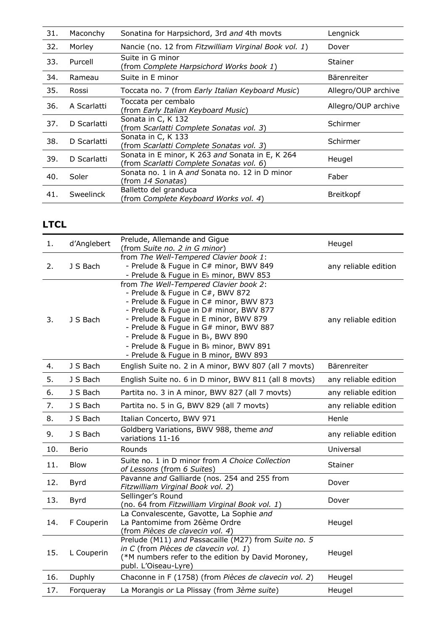| 31. | Maconchy    | Sonatina for Harpsichord, 3rd and 4th movts                                                 | Lengnick            |
|-----|-------------|---------------------------------------------------------------------------------------------|---------------------|
| 32. | Morley      | Nancie (no. 12 from Fitzwilliam Virginal Book vol. 1)                                       | Dover               |
| 33. | Purcell     | Suite in G minor<br>(from Complete Harpsichord Works book 1)                                | <b>Stainer</b>      |
| 34. | Rameau      | Suite in E minor                                                                            | Bärenreiter         |
| 35. | Rossi       | Toccata no. 7 (from Early Italian Keyboard Music)                                           | Allegro/OUP archive |
| 36. | A Scarlatti | Toccata per cembalo<br>(from Early Italian Keyboard Music)                                  | Allegro/OUP archive |
| 37. | D Scarlatti | Sonata in C, K 132<br>(from Scarlatti Complete Sonatas vol. 3)                              | Schirmer            |
| 38. | D Scarlatti | Sonata in C, K 133<br>(from Scarlatti Complete Sonatas vol. 3)                              | Schirmer            |
| 39. | D Scarlatti | Sonata in E minor, K 263 and Sonata in E, K 264<br>(from Scarlatti Complete Sonatas vol. 6) | Heugel              |
| 40. | Soler       | Sonata no. 1 in A and Sonata no. 12 in D minor<br>(from <i>14 Sonatas</i> )                 | Faber               |
| 41. | Sweelinck   | Balletto del granduca<br>(from Complete Keyboard Works vol. 4)                              | <b>Breitkopf</b>    |

## **LTCL**

| 1.  | d'Anglebert  | Prelude, Allemande and Gigue<br>(from Suite no. 2 in G minor)                                                                                                                                                                                                                                                                                                            | Heugel               |
|-----|--------------|--------------------------------------------------------------------------------------------------------------------------------------------------------------------------------------------------------------------------------------------------------------------------------------------------------------------------------------------------------------------------|----------------------|
| 2.  | J S Bach     | from The Well-Tempered Clavier book 1:<br>- Prelude & Fugue in C# minor, BWV 849<br>- Prelude & Fugue in El minor, BWV 853                                                                                                                                                                                                                                               | any reliable edition |
| 3.  | J S Bach     | from The Well-Tempered Clavier book 2:<br>- Prelude & Fugue in C#, BWV 872<br>- Prelude & Fugue in C# minor, BWV 873<br>- Prelude & Fugue in D# minor, BWV 877<br>- Prelude & Fugue in E minor, BWV 879<br>- Prelude & Fugue in G# minor, BWV 887<br>- Prelude & Fugue in Bb, BWV 890<br>- Prelude & Fugue in Bb minor, BWV 891<br>- Prelude & Fugue in B minor, BWV 893 | any reliable edition |
| 4.  | J S Bach     | English Suite no. 2 in A minor, BWV 807 (all 7 movts)                                                                                                                                                                                                                                                                                                                    | Bärenreiter          |
| 5.  | J S Bach     | English Suite no. 6 in D minor, BWV 811 (all 8 movts)                                                                                                                                                                                                                                                                                                                    | any reliable edition |
| 6.  | J S Bach     | Partita no. 3 in A minor, BWV 827 (all 7 movts)                                                                                                                                                                                                                                                                                                                          | any reliable edition |
| 7.  | J S Bach     | Partita no. 5 in G, BWV 829 (all 7 movts)                                                                                                                                                                                                                                                                                                                                | any reliable edition |
| 8.  | J S Bach     | Italian Concerto, BWV 971                                                                                                                                                                                                                                                                                                                                                | Henle                |
| 9.  | J S Bach     | Goldberg Variations, BWV 988, theme and<br>variations 11-16                                                                                                                                                                                                                                                                                                              | any reliable edition |
| 10. | <b>Berio</b> | Rounds                                                                                                                                                                                                                                                                                                                                                                   | Universal            |
| 11. | <b>Blow</b>  | Suite no. 1 in D minor from A Choice Collection<br>of Lessons (from 6 Suites)                                                                                                                                                                                                                                                                                            | Stainer              |
| 12. | <b>Byrd</b>  | Pavanne and Galliarde (nos. 254 and 255 from<br>Fitzwilliam Virginal Book vol. 2)                                                                                                                                                                                                                                                                                        | Dover                |
| 13. | <b>Byrd</b>  | Sellinger's Round<br>(no. 64 from Fitzwilliam Virginal Book vol. 1)                                                                                                                                                                                                                                                                                                      | Dover                |
| 14. | F Couperin   | La Convalescente, Gavotte, La Sophie and<br>La Pantomime from 26ème Ordre<br>(from Pièces de clavecin vol. 4)                                                                                                                                                                                                                                                            | Heugel               |
| 15. | L Couperin   | Prelude (M11) and Passacaille (M27) from Suite no. 5<br>in C (from Pièces de clavecin vol. 1)<br>(*M numbers refer to the edition by David Moroney,<br>publ. L'Oiseau-Lyre)                                                                                                                                                                                              | Heugel               |
| 16. | Duphly       | Chaconne in F (1758) (from Pièces de clavecin vol. 2)                                                                                                                                                                                                                                                                                                                    | Heugel               |
| 17. | Forqueray    | La Morangis or La Plissay (from 3ème suite)                                                                                                                                                                                                                                                                                                                              | Heugel               |